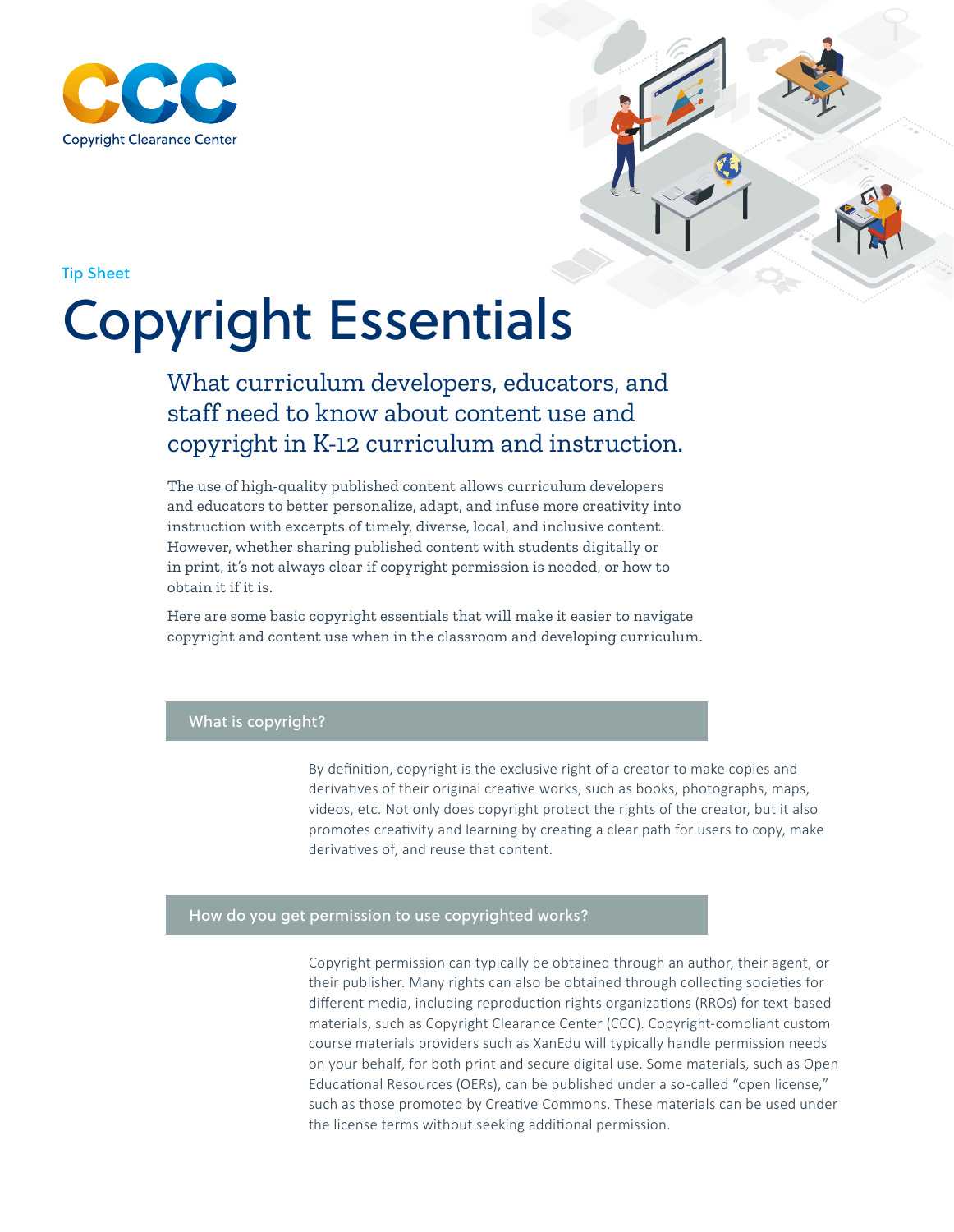



Tip Sheet

# Copyright Essentials

## What curriculum developers, educators, and staff need to know about content use and copyright in K-12 curriculum and instruction.

The use of high-quality published content allows curriculum developers and educators to better personalize, adapt, and infuse more creativity into instruction with excerpts of timely, diverse, local, and inclusive content. However, whether sharing published content with students digitally or in print, it's not always clear if copyright permission is needed, or how to obtain it if it is.

Here are some basic copyright essentials that will make it easier to navigate copyright and content use when in the classroom and developing curriculum.

### What is copyright?

By definition, copyright is the exclusive right of a creator to make copies and derivatives of their original creative works, such as books, photographs, maps, videos, etc. Not only does copyright protect the rights of the creator, but it also promotes creativity and learning by creating a clear path for users to copy, make derivatives of, and reuse that content.

#### How do you get permission to use copyrighted works?

Copyright permission can typically be obtained through an author, their agent, or their publisher. Many rights can also be obtained through collecting societies for different media, including reproduction rights organizations (RROs) for text-based materials, such as Copyright Clearance Center (CCC). Copyright-compliant custom course materials providers such as XanEdu will typically handle permission needs on your behalf, for both print and secure digital use. Some materials, such as Open Educational Resources (OERs), can be published under a so-called "open license," such as those promoted by Creative Commons. These materials can be used under the license terms without seeking additional permission.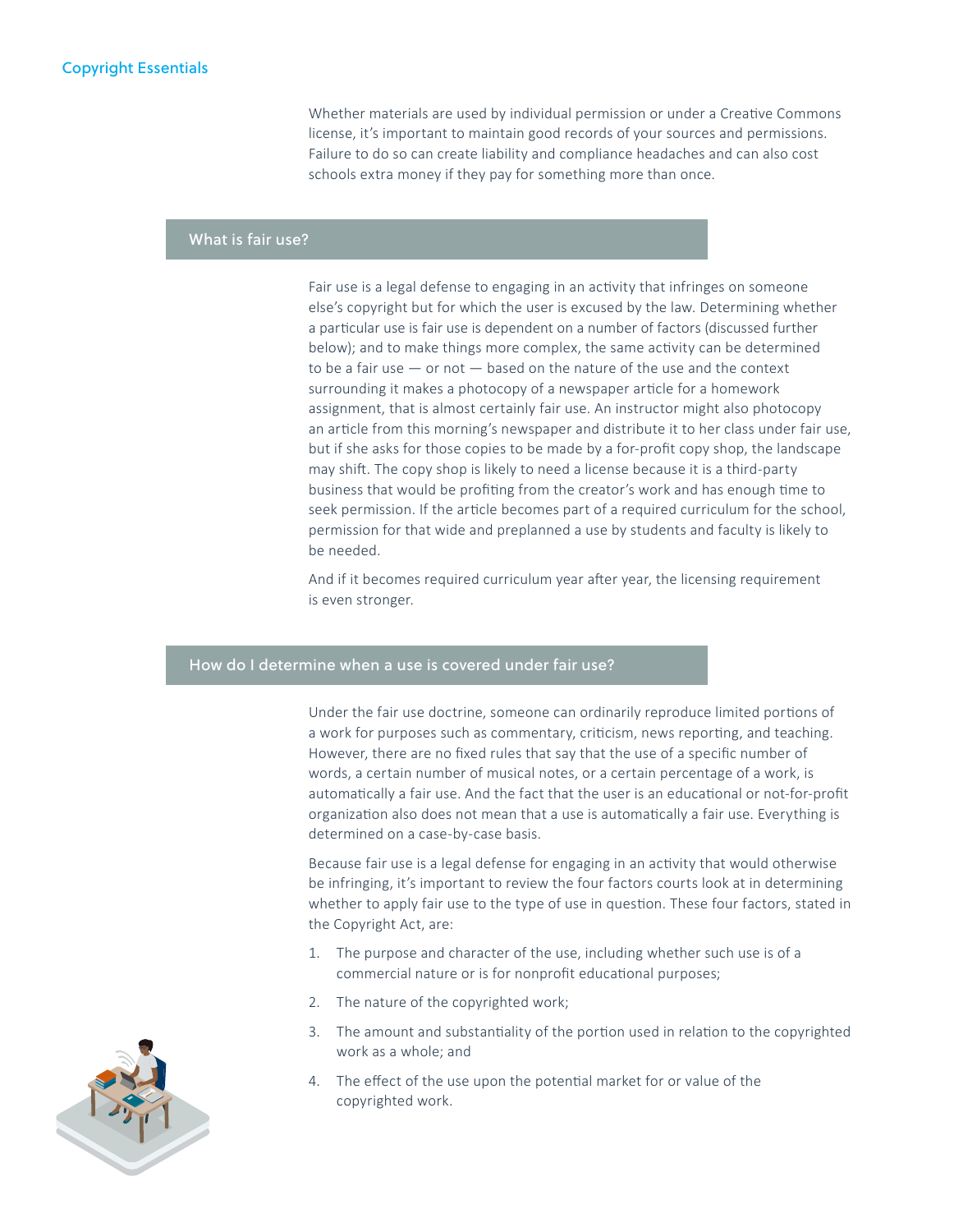Whether materials are used by individual permission or under a Creative Commons license, it's important to maintain good records of your sources and permissions. Failure to do so can create liability and compliance headaches and can also cost schools extra money if they pay for something more than once.

#### What is fair use?

Fair use is a legal defense to engaging in an activity that infringes on someone else's copyright but for which the user is excused by the law. Determining whether a particular use is fair use is dependent on a number of factors (discussed further below); and to make things more complex, the same activity can be determined to be a fair use — or not — based on the nature of the use and the context surrounding it makes a photocopy of a newspaper article for a homework assignment, that is almost certainly fair use. An instructor might also photocopy an article from this morning's newspaper and distribute it to her class under fair use, but if she asks for those copies to be made by a for-profit copy shop, the landscape may shift. The copy shop is likely to need a license because it is a third-party business that would be profiting from the creator's work and has enough time to seek permission. If the article becomes part of a required curriculum for the school, permission for that wide and preplanned a use by students and faculty is likely to be needed.

And if it becomes required curriculum year after year, the licensing requirement is even stronger.

#### How do I determine when a use is covered under fair use?

Under the fair use doctrine, someone can ordinarily reproduce limited portions of a work for purposes such as commentary, criticism, news reporting, and teaching. However, there are no fixed rules that say that the use of a specific number of words, a certain number of musical notes, or a certain percentage of a work, is automatically a fair use. And the fact that the user is an educational or not-for-profit organization also does not mean that a use is automatically a fair use. Everything is determined on a case-by-case basis.

Because fair use is a legal defense for engaging in an activity that would otherwise be infringing, it's important to review the four factors courts look at in determining whether to apply fair use to the type of use in question. These four factors, stated in the Copyright Act, are:

- 1. The purpose and character of the use, including whether such use is of a commercial nature or is for nonprofit educational purposes;
- 2. The nature of the copyrighted work;
- 3. The amount and substantiality of the portion used in relation to the copyrighted work as a whole; and
- 4. The effect of the use upon the potential market for or value of the copyrighted work.

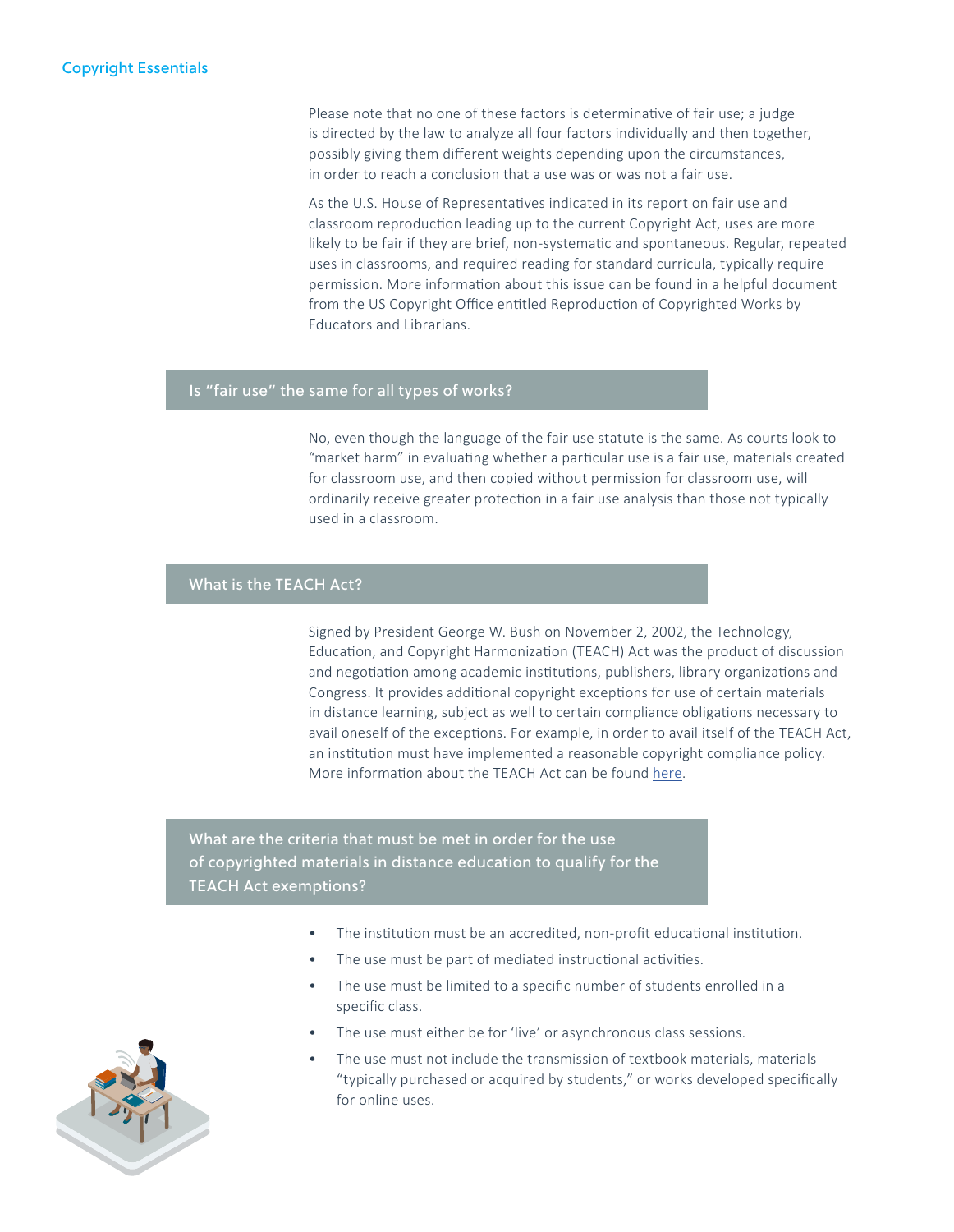Please note that no one of these factors is determinative of fair use; a judge is directed by the law to analyze all four factors individually and then together, possibly giving them different weights depending upon the circumstances, in order to reach a conclusion that a use was or was not a fair use.

As the U.S. House of Representatives indicated in its report on fair use and classroom reproduction leading up to the current Copyright Act, uses are more likely to be fair if they are brief, non-systematic and spontaneous. Regular, repeated uses in classrooms, and required reading for standard curricula, typically require permission. More information about this issue can be found in a helpful document from the US Copyright Office entitled Reproduction of Copyrighted Works by Educators and Librarians.

#### Is "fair use" the same for all types of works?

No, even though the language of the fair use statute is the same. As courts look to "market harm" in evaluating whether a particular use is a fair use, materials created for classroom use, and then copied without permission for classroom use, will ordinarily receive greater protection in a fair use analysis than those not typically used in a classroom.

#### What is the TEACH Act?

Signed by President George W. Bush on November 2, 2002, the Technology, Education, and Copyright Harmonization (TEACH) Act was the product of discussion and negotiation among academic institutions, publishers, library organizations and Congress. It provides additional copyright exceptions for use of certain materials in distance learning, subject as well to certain compliance obligations necessary to avail oneself of the exceptions. For example, in order to avail itself of the TEACH Act, an institution must have implemented a reasonable copyright compliance policy. More information about the TEACH Act can be found [here](https://www.copyright.com/wp-content/uploads/2015/04/CR-Teach-Act.pdf).

 $\mathbb{R}$ 

What are the criteria that must be met in order for the use of copyrighted materials in distance education to qualify for the TEACH Act exemptions?

- The institution must be an accredited, non-profit educational institution.
- The use must be part of mediated instructional activities.
- The use must be limited to a specific number of students enrolled in a specific class.
- The use must either be for 'live' or asynchronous class sessions.
- The use must not include the transmission of textbook materials, materials "typically purchased or acquired by students," or works developed specifically for online uses.

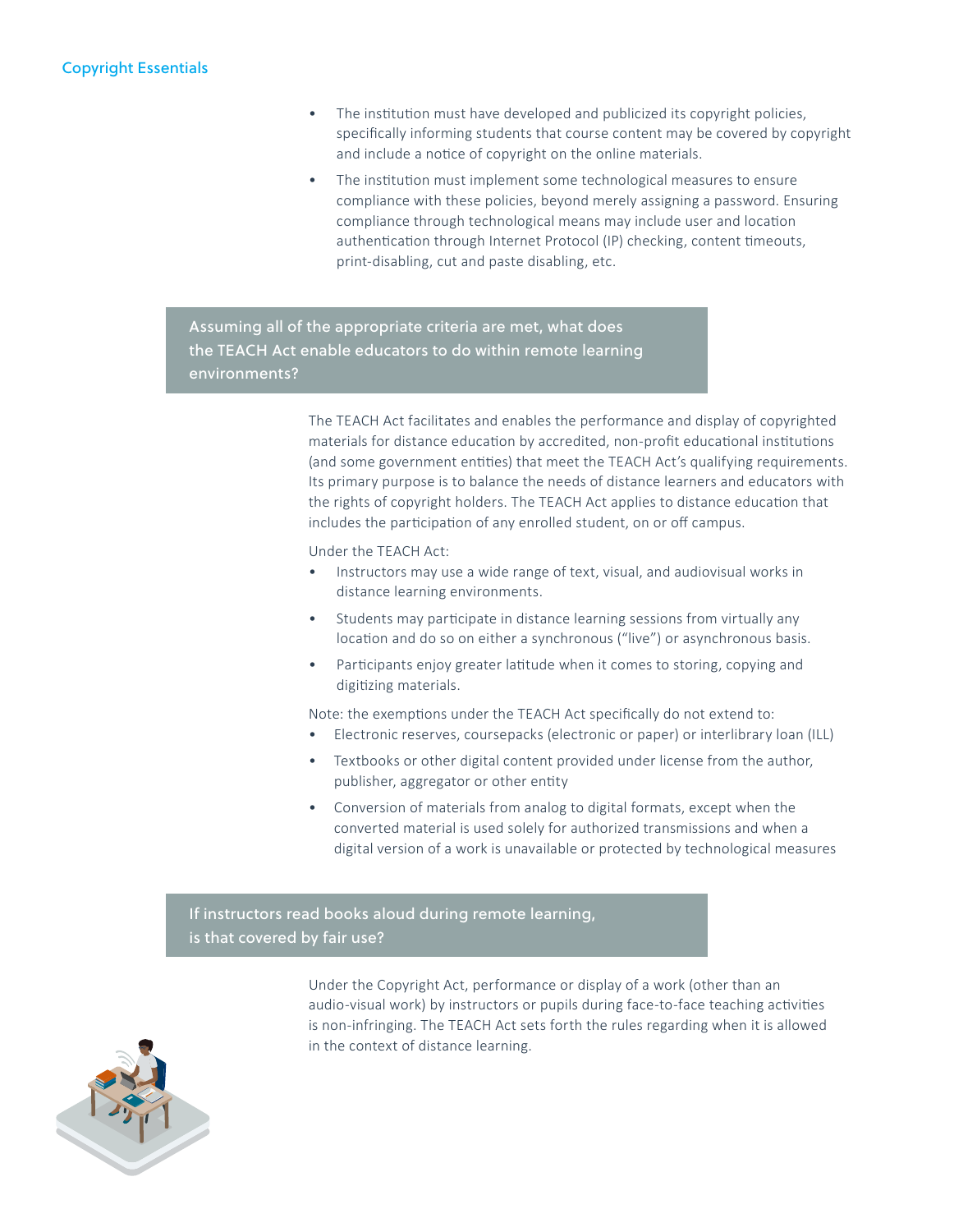- The institution must have developed and publicized its copyright policies, specifically informing students that course content may be covered by copyright and include a notice of copyright on the online materials.
- The institution must implement some technological measures to ensure compliance with these policies, beyond merely assigning a password. Ensuring compliance through technological means may include user and location authentication through Internet Protocol (IP) checking, content timeouts, print-disabling, cut and paste disabling, etc.

 $\mathbb{R}$ 

 $\mathbb{R}$ 

Assuming all of the appropriate criteria are met, what does the TEACH Act enable educators to do within remote learning environments?

> The TEACH Act facilitates and enables the performance and display of copyrighted materials for distance education by accredited, non-profit educational institutions (and some government entities) that meet the TEACH Act's qualifying requirements. Its primary purpose is to balance the needs of distance learners and educators with the rights of copyright holders. The TEACH Act applies to distance education that includes the participation of any enrolled student, on or off campus.

Under the TEACH Act:

- Instructors may use a wide range of text, visual, and audiovisual works in distance learning environments.
- Students may participate in distance learning sessions from virtually any location and do so on either a synchronous ("live") or asynchronous basis.
- Participants enjoy greater latitude when it comes to storing, copying and digitizing materials.

Note: the exemptions under the TEACH Act specifically do not extend to:

- Electronic reserves, coursepacks (electronic or paper) or interlibrary loan (ILL)
- Textbooks or other digital content provided under license from the author, publisher, aggregator or other entity
- Conversion of materials from analog to digital formats, except when the converted material is used solely for authorized transmissions and when a digital version of a work is unavailable or protected by technological measures

If instructors read books aloud during remote learning, is that covered by fair use?

> Under the Copyright Act, performance or display of a work (other than an audio-visual work) by instructors or pupils during face-to-face teaching activities is non-infringing. The TEACH Act sets forth the rules regarding when it is allowed in the context of distance learning.

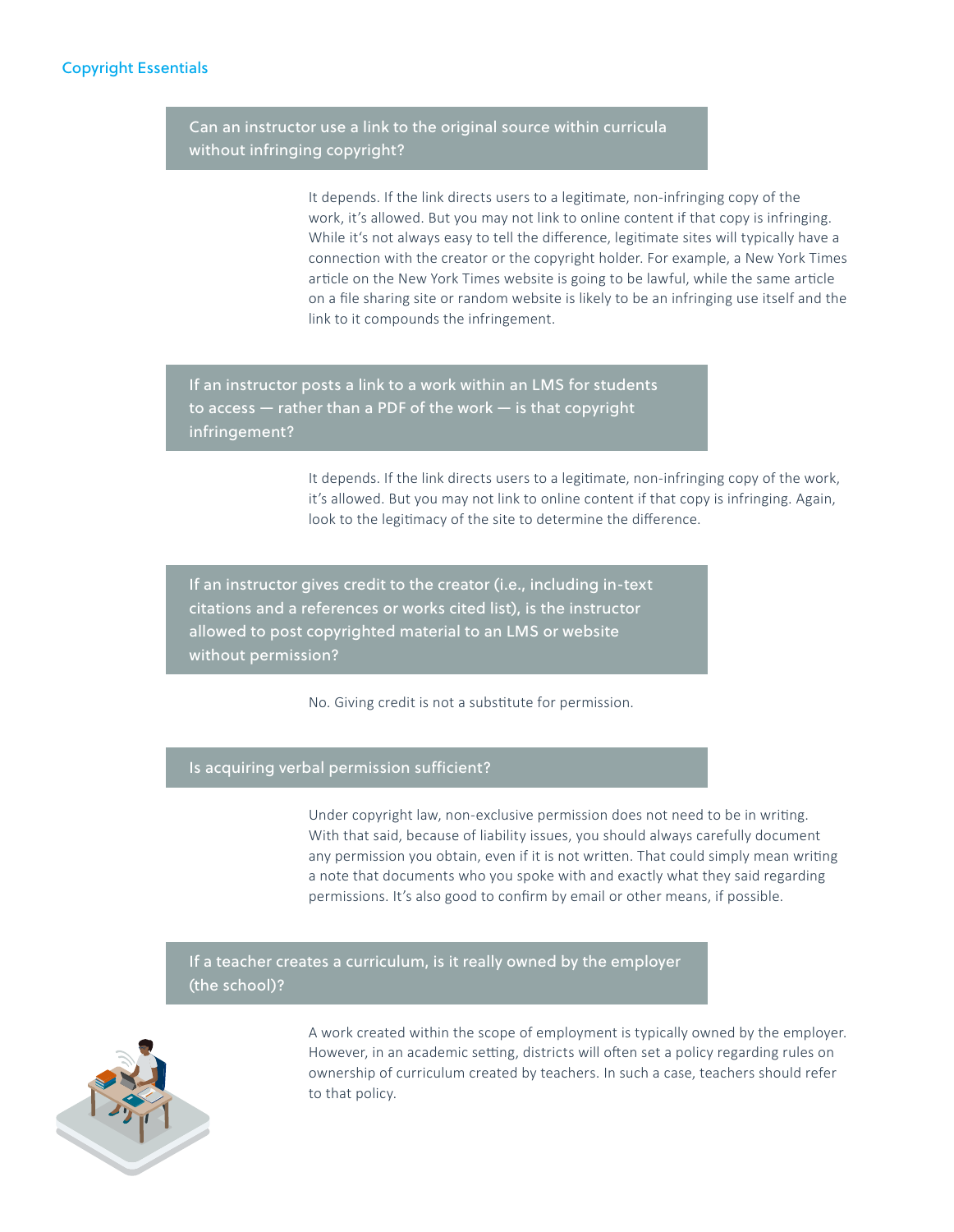Can an instructor use a link to the original source within curricula without infringing copyright?

> It depends. If the link directs users to a legitimate, non-infringing copy of the work, it's allowed. But you may not link to online content if that copy is infringing. While it's not always easy to tell the difference, legitimate sites will typically have a connection with the creator or the copyright holder. For example, a New York Times article on the New York Times website is going to be lawful, while the same article on a file sharing site or random website is likely to be an infringing use itself and the link to it compounds the infringement.

 $\mathbb{R}$ 

 $\mathbb{R}$ 

 $\mathbb{R}$ 

 $\mathbb{R}$ 

If an instructor posts a link to a work within an LMS for students to access — rather than a PDF of the work — is that copyright infringement?

> It depends. If the link directs users to a legitimate, non-infringing copy of the work, it's allowed. But you may not link to online content if that copy is infringing. Again, look to the legitimacy of the site to determine the difference.

If an instructor gives credit to the creator (i.e., including in-text citations and a references or works cited list), is the instructor allowed to post copyrighted material to an LMS or website without permission?

No. Giving credit is not a substitute for permission.

#### Is acquiring verbal permission sufficient?

Under copyright law, non-exclusive permission does not need to be in writing. With that said, because of liability issues, you should always carefully document any permission you obtain, even if it is not written. That could simply mean writing a note that documents who you spoke with and exactly what they said regarding permissions. It's also good to confirm by email or other means, if possible.

If a teacher creates a curriculum, is it really owned by the employer (the school)?



A work created within the scope of employment is typically owned by the employer. However, in an academic setting, districts will often set a policy regarding rules on ownership of curriculum created by teachers. In such a case, teachers should refer to that policy.